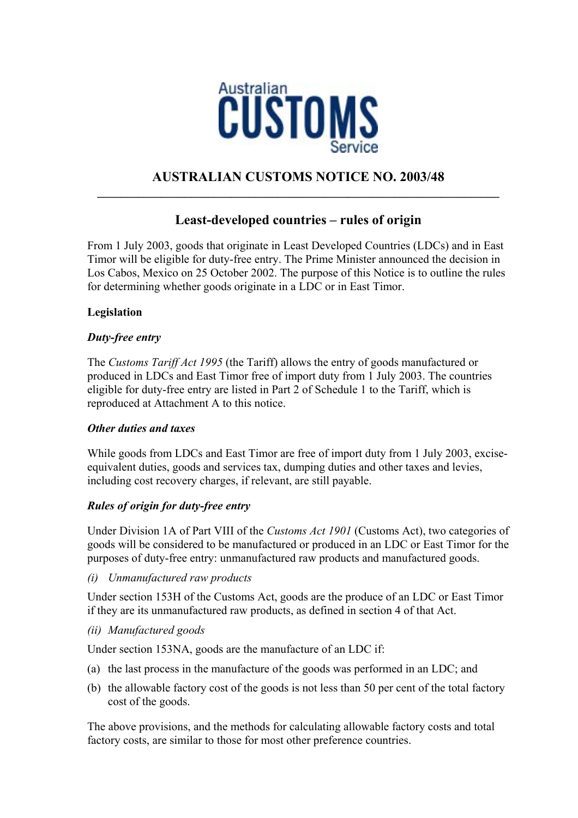

## **AUSTRALIAN CUSTOMS NOTICE NO. 2003/48 \_\_\_\_\_\_\_\_\_\_\_\_\_\_\_\_\_\_\_\_\_\_\_\_\_\_\_\_\_\_\_\_\_\_\_\_\_\_\_\_\_\_\_\_\_\_\_\_\_\_\_\_\_\_\_\_\_\_\_\_\_\_\_\_\_\_\_\_\_**

# **Least-developed countries – rules of origin**

From 1 July 2003, goods that originate in Least Developed Countries (LDCs) and in East Timor will be eligible for duty-free entry. The Prime Minister announced the decision in Los Cabos, Mexico on 25 October 2002. The purpose of this Notice is to outline the rules for determining whether goods originate in a LDC or in East Timor.

## **Legislation**

## *Duty-free entry*

The *Customs Tariff Act 1995* (the Tariff) allows the entry of goods manufactured or produced in LDCs and East Timor free of import duty from 1 July 2003. The countries eligible for duty-free entry are listed in Part 2 of Schedule 1 to the Tariff, which is reproduced at Attachment A to this notice.

## *Other duties and taxes*

While goods from LDCs and East Timor are free of import duty from 1 July 2003, exciseequivalent duties, goods and services tax, dumping duties and other taxes and levies, including cost recovery charges, if relevant, are still payable.

## *Rules of origin for duty-free entry*

Under Division 1A of Part VIII of the *Customs Act 1901* (Customs Act), two categories of goods will be considered to be manufactured or produced in an LDC or East Timor for the purposes of duty-free entry: unmanufactured raw products and manufactured goods.

*(i) Unmanufactured raw products* 

Under section 153H of the Customs Act, goods are the produce of an LDC or East Timor if they are its unmanufactured raw products, as defined in section 4 of that Act.

## *(ii) Manufactured goods*

Under section 153NA, goods are the manufacture of an LDC if:

- (a) the last process in the manufacture of the goods was performed in an LDC; and
- (b) the allowable factory cost of the goods is not less than 50 per cent of the total factory cost of the goods.

The above provisions, and the methods for calculating allowable factory costs and total factory costs, are similar to those for most other preference countries.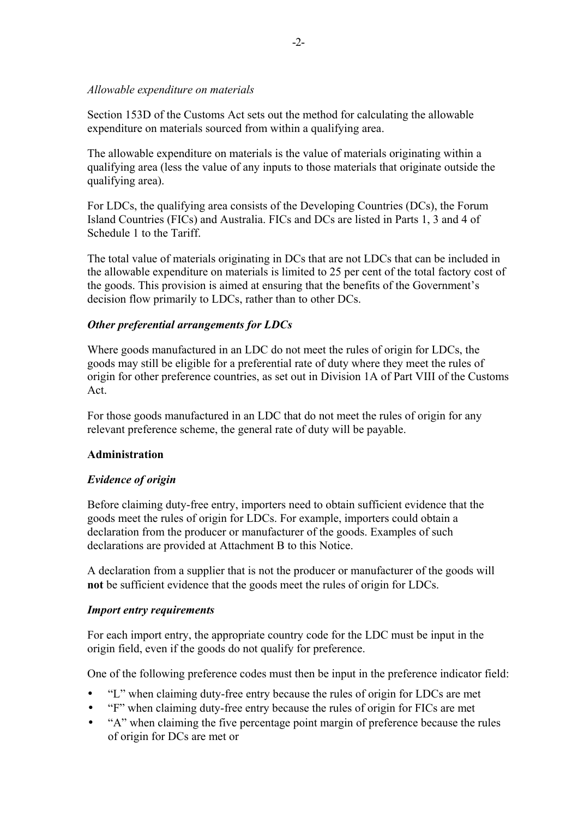## *Allowable expenditure on materials*

Section 153D of the Customs Act sets out the method for calculating the allowable expenditure on materials sourced from within a qualifying area.

The allowable expenditure on materials is the value of materials originating within a qualifying area (less the value of any inputs to those materials that originate outside the qualifying area).

For LDCs, the qualifying area consists of the Developing Countries (DCs), the Forum Island Countries (FICs) and Australia. FICs and DCs are listed in Parts 1, 3 and 4 of Schedule 1 to the Tariff.

The total value of materials originating in DCs that are not LDCs that can be included in the allowable expenditure on materials is limited to 25 per cent of the total factory cost of the goods. This provision is aimed at ensuring that the benefits of the Government's decision flow primarily to LDCs, rather than to other DCs.

### *Other preferential arrangements for LDCs*

Where goods manufactured in an LDC do not meet the rules of origin for LDCs, the goods may still be eligible for a preferential rate of duty where they meet the rules of origin for other preference countries, as set out in Division 1A of Part VIII of the Customs Act.

For those goods manufactured in an LDC that do not meet the rules of origin for any relevant preference scheme, the general rate of duty will be payable.

### **Administration**

### *Evidence of origin*

Before claiming duty-free entry, importers need to obtain sufficient evidence that the goods meet the rules of origin for LDCs. For example, importers could obtain a declaration from the producer or manufacturer of the goods. Examples of such declarations are provided at Attachment B to this Notice.

A declaration from a supplier that is not the producer or manufacturer of the goods will **not** be sufficient evidence that the goods meet the rules of origin for LDCs.

### *Import entry requirements*

For each import entry, the appropriate country code for the LDC must be input in the origin field, even if the goods do not qualify for preference.

One of the following preference codes must then be input in the preference indicator field:

- "L" when claiming duty-free entry because the rules of origin for LDCs are met
- "F" when claiming duty-free entry because the rules of origin for FICs are met
- "A" when claiming the five percentage point margin of preference because the rules of origin for DCs are met or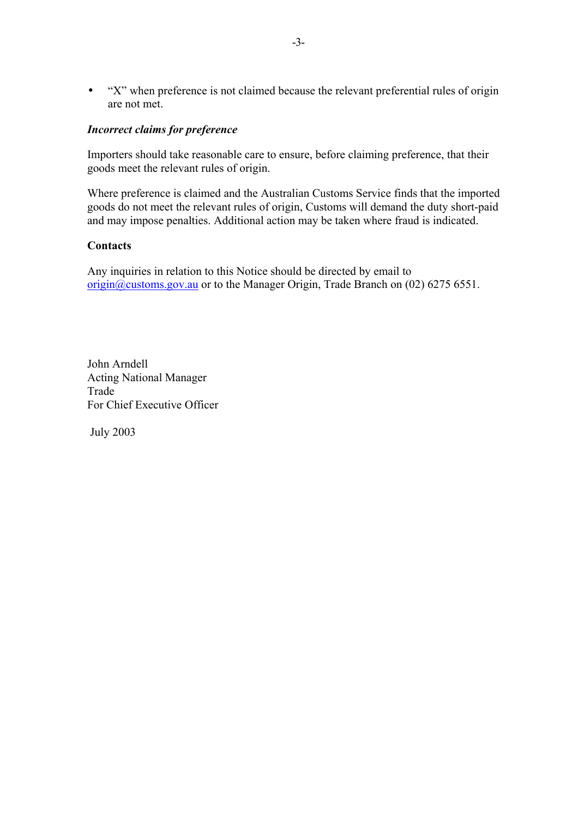• "X" when preference is not claimed because the relevant preferential rules of origin are not met.

## *Incorrect claims for preference*

Importers should take reasonable care to ensure, before claiming preference, that their goods meet the relevant rules of origin.

Where preference is claimed and the Australian Customs Service finds that the imported goods do not meet the relevant rules of origin, Customs will demand the duty short-paid and may impose penalties. Additional action may be taken where fraud is indicated.

### **Contacts**

Any inquiries in relation to this Notice should be directed by email to origin@customs.gov.au or to the Manager Origin, Trade Branch on (02) 6275 6551.

John Arndell Acting National Manager Trade For Chief Executive Officer

July 2003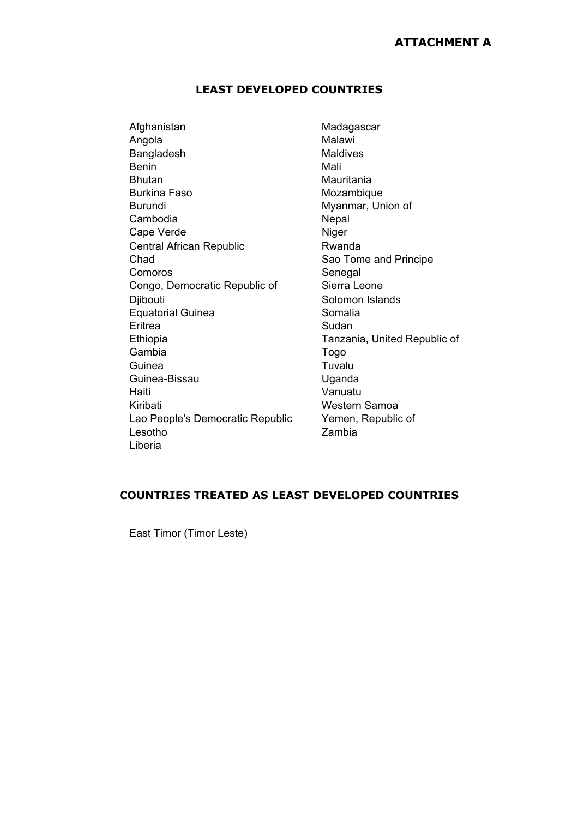# **ATTACHMENT A**

#### **LEAST DEVELOPED COUNTRIES**

Afghanistan Madagascar Angola Malawi Bangladesh Maldives Benin Mali Bhutan Mauritania Burkina Faso **Mozambique** Mozambique Burundi Myanmar, Union of Cambodia Nepal Cape Verde Niger Central African Republic **Rwanda** Chad Sao Tome and Principe Comoros Senegal Congo, Democratic Republic of Sierra Leone Djibouti Solomon Islands Equatorial Guinea **Somalia** Eritrea Sudan Ethiopia Tanzania, United Republic of Gambia Togo Guinea Tuvalu Guinea-Bissau **Uganda** Haiti Vanuatu Kiribati **Western Samoa** Lao People's Democratic Republic Yemen, Republic of Lesotho Zambia Liberia

## **COUNTRIES TREATED AS LEAST DEVELOPED COUNTRIES**

East Timor (Timor Leste)